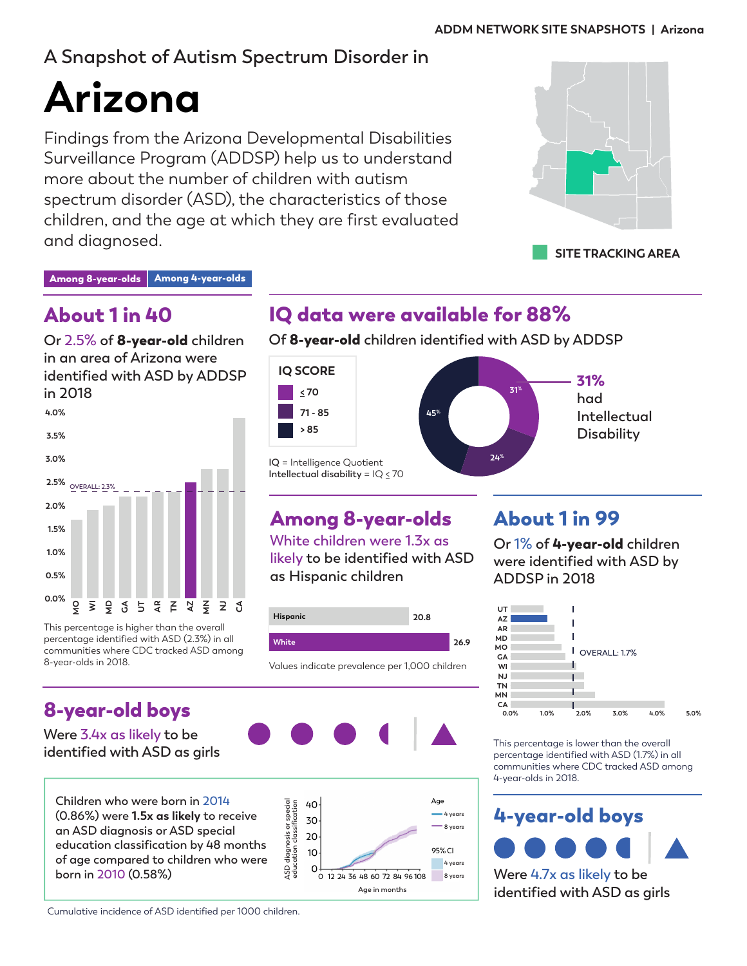# **A Snapshot of Autism Spectrum Disorder in**

# **Arizona**

Findings from the Arizona Developmental Disabilities Surveillance Program (ADDSP) help us to understand more about the number of children with autism spectrum disorder (ASD), the characteristics of those children, and the age at which they are first evaluated and diagnosed.



Among 8-year-olds | Among 4-year-olds

# About 1 in 40

**Or 2.5% of** 8-year-old **children in an area of Arizona were identified with ASD by ADDSP in 2018**



This percentage is higher than the overall percentage identified with ASD (2.3%) in all communities where CDC tracked ASD among 8-year-olds in 2018.

# 8-year-old boys

**Were 3.4x as likely to be identified with ASD as girls**



IQ data were available for 88%

**Of** 8-year-old **children identified with ASD by ADDSP**



# Among 8-year-olds

**White children were 1.3x as likely to be identified with ASD as Hispanic children**



Values indicate prevalence per 1,000 children





# About 1 in 99

**Or 1% of** 4-year-old **children were identified with ASD by ADDSP in 2018**



This percentage is lower than the overall percentage identified with ASD (1.7%) in all communities where CDC tracked ASD among 4-year-olds in 2018.



**identified with ASD as girls**